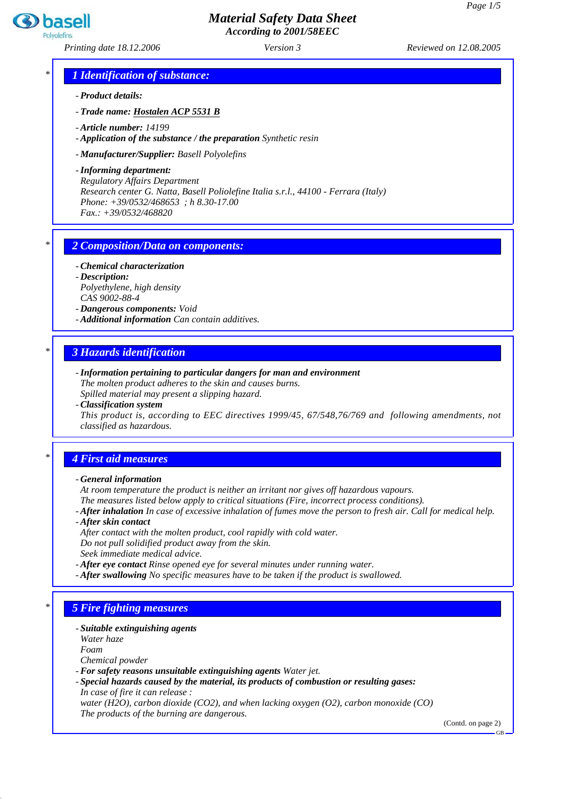## *Material Safety Data Sheet According to 2001/58EEC*

*Printing date 18.12.2006 Reviewed on 12.08.2005 Version 3*

basell

## *\* 1 Identification of substance:*

*- Product details:*

*- Trade name: Hostalen ACP 5531 B*

*- Article number: 14199*

*- Application of the substance / the preparation Synthetic resin*

*- Manufacturer/Supplier: Basell Polyolefins*

*- Informing department: Regulatory Affairs Department Research center G. Natta, Basell Poliolefine Italia s.r.l., 44100 - Ferrara (Italy) Phone: +39/0532/468653 ; h 8.30-17.00 Fax.: +39/0532/468820*

#### *\* 2 Composition/Data on components:*

*- Chemical characterization - Description: Polyethylene, high density CAS 9002-88-4*

*- Dangerous components: Void*

*- Additional information Can contain additives.*

#### *\* 3 Hazards identification*

- *Information pertaining to particular dangers for man and environment The molten product adheres to the skin and causes burns. Spilled material may present a slipping hazard.*
- *Classification system*

*This product is, according to EEC directives 1999/45, 67/548,76/769 and following amendments, not classified as hazardous.*

#### *\* 4 First aid measures*

#### *- General information*

*At room temperature the product is neither an irritant nor gives off hazardous vapours.*

*The measures listed below apply to critical situations (Fire, incorrect process conditions).*

- *After inhalation In case of excessive inhalation of fumes move the person to fresh air. Call for medical help.*
- *After skin contact*
- *After contact with the molten product, cool rapidly with cold water.*

*Do not pull solidified product away from the skin.*

- *Seek immediate medical advice.*
- *After eye contact Rinse opened eye for several minutes under running water.*
- *After swallowing No specific measures have to be taken if the product is swallowed.*

## *\* 5 Fire fighting measures*

*- Suitable extinguishing agents*

*Water haze*

*Foam*

*Chemical powder*

- *For safety reasons unsuitable extinguishing agents Water jet.*
- *Special hazards caused by the material, its products of combustion or resulting gases: In case of fire it can release :*

*water (H2O), carbon dioxide (CO2), and when lacking oxygen (O2), carbon monoxide (CO) The products of the burning are dangerous.*

(Contd. on page 2)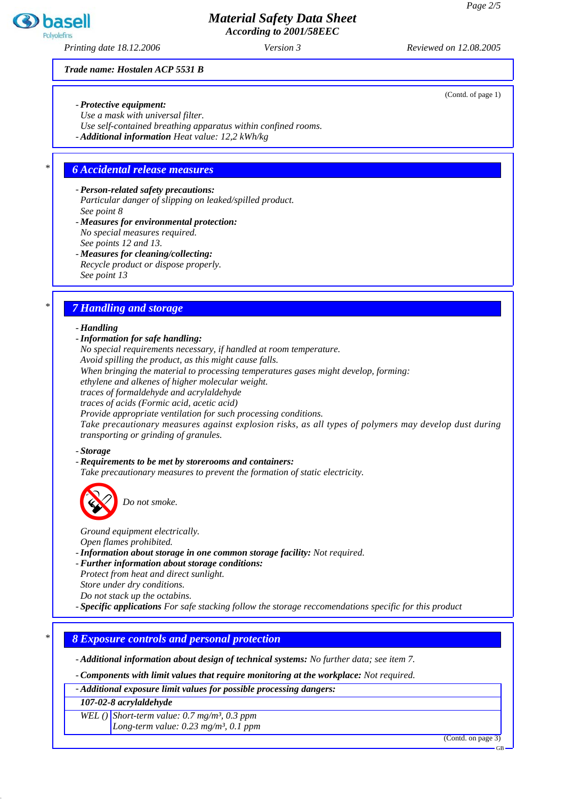## *Material Safety Data Sheet According to 2001/58EEC*

*Printing date 18.12.2006 Reviewed on 12.08.2005 Version 3*

*Trade name: Hostalen ACP 5531 B*

- *Protective equipment:*
- *Use a mask with universal filter.*
- *Use self-contained breathing apparatus within confined rooms.*

*- Additional information Heat value: 12,2 kWh/kg*

#### *\* 6 Accidental release measures*

*- Person-related safety precautions: Particular danger of slipping on leaked/spilled product. See point 8*

- *Measures for environmental protection: No special measures required. See points 12 and 13.*
- *Measures for cleaning/collecting: Recycle product or dispose properly. See point 13*

## *\* 7 Handling and storage*

#### *- Handling*

## *- Information for safe handling:*

*No special requirements necessary, if handled at room temperature. Avoid spilling the product, as this might cause falls.*

*When bringing the material to processing temperatures gases might develop, forming:*

*ethylene and alkenes of higher molecular weight.*

*traces of formaldehyde and acrylaldehyde*

*traces of acids (Formic acid, acetic acid)*

*Provide appropriate ventilation for such processing conditions.*

*Take precautionary measures against explosion risks, as all types of polymers may develop dust during transporting or grinding of granules.*

#### *- Storage*

#### *- Requirements to be met by storerooms and containers:*

*Take precautionary measures to prevent the formation of static electricity.*



Do not smoke.

*Ground equipment electrically.*

*Open flames prohibited.*

- *Information about storage in one common storage facility: Not required.*
- *Further information about storage conditions: Protect from heat and direct sunlight.*
- *Store under dry conditions.*
- *Do not stack up the octabins.*

*- Specific applications For safe stacking follow the storage reccomendations specific for this product*

#### *\* 8 Exposure controls and personal protection*

*- Additional information about design of technical systems: No further data; see item 7.*

*- Components with limit values that require monitoring at the workplace: Not required.*

*- Additional exposure limit values for possible processing dangers:*

*107-02-8 acrylaldehyde*

*WEL () Short-term value: 0.7 mg/m³, 0.3 ppm Long-term value: 0.23 mg/m³, 0.1 ppm*

(Contd. on page 3)



(Contd. of page 1)

GB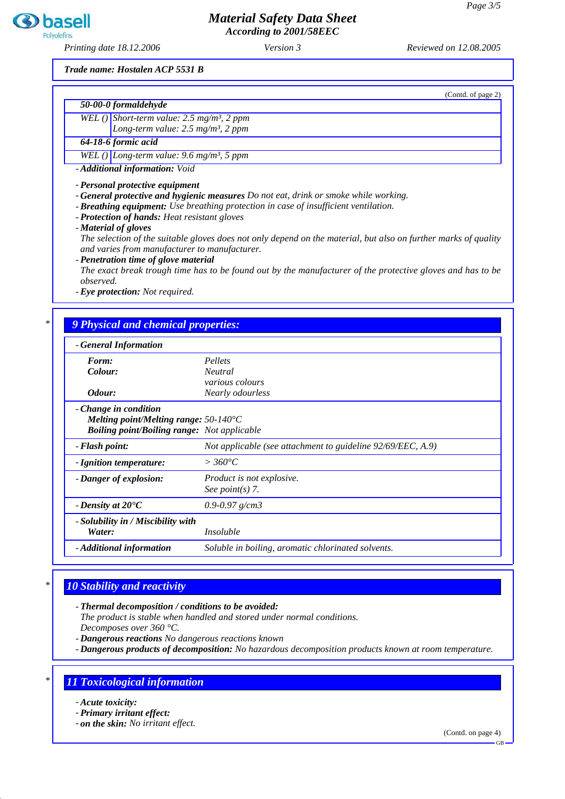

*According to 2001/58EEC*

*Printing date 18.12.2006 Reviewed on 12.08.2005 Version 3*

**3** basell Polyolefin

*Trade name: Hostalen ACP 5531 B*

| 50-00-0 formaldehyde                                          |                                                                                                                   |
|---------------------------------------------------------------|-------------------------------------------------------------------------------------------------------------------|
| WEL( $\int$ ) Short-term value: 2.5 mg/m <sup>3</sup> , 2 ppm |                                                                                                                   |
|                                                               | Long-term value: $2.5 \text{ mg/m}^3$ , 2 ppm                                                                     |
| 64-18-6 formic acid                                           |                                                                                                                   |
| WEL () Long-term value: 9.6 mg/m <sup>3</sup> , 5 ppm         |                                                                                                                   |
| - Additional information: Void                                |                                                                                                                   |
| - Personal protective equipment                               |                                                                                                                   |
|                                                               | - General protective and hygienic measures Do not eat, drink or smoke while working.                              |
|                                                               | - Breathing equipment: Use breathing protection in case of insufficient ventilation.                              |
| - Protection of hands: Heat resistant gloves                  |                                                                                                                   |
| - Material of gloves                                          |                                                                                                                   |
|                                                               | The selection of the suitable gloves does not only depend on the material, but also on further marks of quality   |
|                                                               | and varies from manufacturer to manufacturer.                                                                     |
| - Penetration time of glove material                          |                                                                                                                   |
|                                                               |                                                                                                                   |
|                                                               |                                                                                                                   |
|                                                               |                                                                                                                   |
| observed.                                                     |                                                                                                                   |
| - Eye protection: Not required.                               |                                                                                                                   |
|                                                               |                                                                                                                   |
|                                                               |                                                                                                                   |
| 9 Physical and chemical properties:                           | The exact break trough time has to be found out by the manufacturer of the protective gloves and has to be        |
| - General Information                                         |                                                                                                                   |
| Form:                                                         | Pellets                                                                                                           |
| Colour:                                                       | <b>Neutral</b>                                                                                                    |
|                                                               |                                                                                                                   |
| Odour:                                                        | various colours<br>Nearly odourless                                                                               |
|                                                               |                                                                                                                   |
| - Change in condition                                         |                                                                                                                   |
| Melting point/Melting range: $50-140^{\circ}$ C               |                                                                                                                   |
| - Flash point:                                                | <b>Boiling point/Boiling range:</b> Not applicable<br>Not applicable (see attachment to guideline 92/69/EEC, A.9) |

| - Ignition temperature:                      | $>360^{\circ}C$                                    |
|----------------------------------------------|----------------------------------------------------|
| - Danger of explosion:                       | Product is not explosive.<br>See point(s) $7$ .    |
| - Density at $20^{\circ}C$                   | 0.9-0.97 $g/cm3$                                   |
| - Solubility in / Miscibility with<br>Water: | <i>Insoluble</i>                                   |
| - Additional information                     | Soluble in boiling, aromatic chlorinated solvents. |

## *\* 10 Stability and reactivity*

*- Thermal decomposition / conditions to be avoided:*

*The product is stable when handled and stored under normal conditions. Decomposes over 360 °C.*

*- Dangerous reactions No dangerous reactions known*

*- Dangerous products of decomposition: No hazardous decomposition products known at room temperature.*

## *\* 11 Toxicological information*

*- Acute toxicity:*

*- Primary irritant effect:*

*- on the skin: No irritant effect.*

(Contd. on page 4)

GB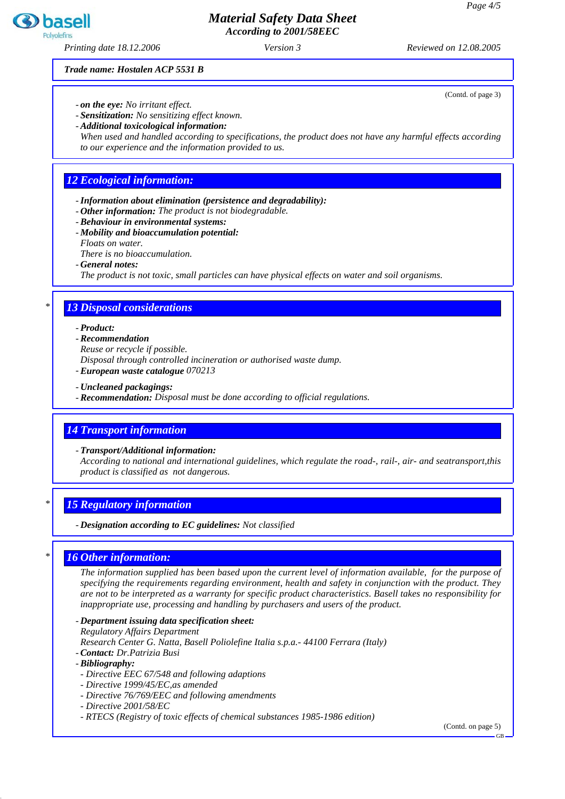## *Material Safety Data Sheet According to 2001/58EEC*

*Printing date 18.12.2006 Reviewed on 12.08.2005 Version 3*

*Trade name: Hostalen ACP 5531 B*

- *on the eye: No irritant effect.*
- *Sensitization: No sensitizing effect known.*
- *Additional toxicological information:*

*When used and handled according to specifications, the product does not have any harmful effects according to our experience and the information provided to us.*

## *12 Ecological information:*

- *Information about elimination (persistence and degradability):*
- *Other information: The product is not biodegradable.*
- *Behaviour in environmental systems:*
- *Mobility and bioaccumulation potential:*
- *Floats on water.*
- *There is no bioaccumulation.*
- *General notes:*

*The product is not toxic, small particles can have physical effects on water and soil organisms.*

## *\* 13 Disposal considerations*

#### *- Product:*

- *Recommendation*
- *Reuse or recycle if possible.*
- *Disposal through controlled incineration or authorised waste dump.*
- *European waste catalogue 070213*
- *Uncleaned packagings:*
- *Recommendation: Disposal must be done according to official regulations.*

#### *14 Transport information*

*- Transport/Additional information:*

*According to national and international guidelines, which regulate the road-, rail-, air- and seatransport,this product is classified as not dangerous.*

#### *\* 15 Regulatory information*

*- Designation according to EC guidelines: Not classified*

#### *\* 16 Other information:*

*The information supplied has been based upon the current level of information available, for the purpose of specifying the requirements regarding environment, health and safety in conjunction with the product. They are not to be interpreted as a warranty for specific product characteristics. Basell takes no responsibility for inappropriate use, processing and handling by purchasers and users of the product.*

- *Department issuing data specification sheet: Regulatory Affairs Department*
- *Research Center G. Natta, Basell Poliolefine Italia s.p.a.- 44100 Ferrara (Italy)*
- *Contact: Dr.Patrizia Busi*
- *Bibliography:*
- *Directive EEC 67/548 and following adaptions*
- *Directive 1999/45/EC,as amended*
- *Directive 76/769/EEC and following amendments*
- *Directive 2001/58/EC*
- *RTECS (Registry of toxic effects of chemical substances 1985-1986 edition)*

(Contd. on page 5)



(Contd. of page 3)

GB